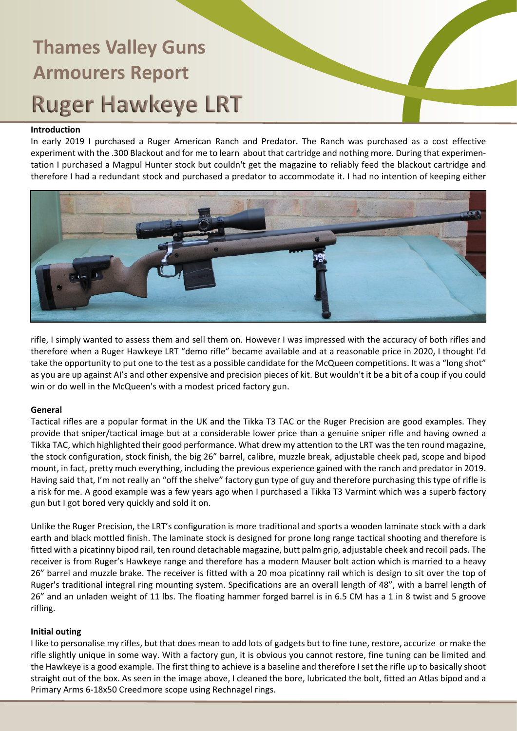#### **Introduction**

In early 2019 I purchased a Ruger American Ranch and Predator. The Ranch was purchased as a cost effective experiment with the .300 Blackout and for me to learn about that cartridge and nothing more. During that experimentation I purchased a Magpul Hunter stock but couldn't get the magazine to reliably feed the blackout cartridge and therefore I had a redundant stock and purchased a predator to accommodate it. I had no intention of keeping either



rifle, I simply wanted to assess them and sell them on. However I was impressed with the accuracy of both rifles and therefore when a Ruger Hawkeye LRT "demo rifle" became available and at a reasonable price in 2020, I thought I'd take the opportunity to put one to the test as a possible candidate for the McQueen competitions. It was a "long shot" as you are up against AI's and other expensive and precision pieces of kit. But wouldn't it be a bit of a coup if you could win or do well in the McQueen's with a modest priced factory gun.

#### **General**

Tactical rifles are a popular format in the UK and the Tikka T3 TAC or the Ruger Precision are good examples. They provide that sniper/tactical image but at a considerable lower price than a genuine sniper rifle and having owned a Tikka TAC, which highlighted their good performance. What drew my attention to the LRT was the ten round magazine, the stock configuration, stock finish, the big 26" barrel, calibre, muzzle break, adjustable cheek pad, scope and bipod mount, in fact, pretty much everything, including the previous experience gained with the ranch and predator in 2019. Having said that, I'm not really an "off the shelve" factory gun type of guy and therefore purchasing this type of rifle is a risk for me. A good example was a few years ago when I purchased a Tikka T3 Varmint which was a superb factory gun but I got bored very quickly and sold it on.

Unlike the Ruger Precision, the LRT's configuration is more traditional and sports a wooden laminate stock with a dark earth and black mottled finish. The laminate stock is designed for prone long range tactical shooting and therefore is fitted with a picatinny bipod rail, ten round detachable magazine, butt palm grip, adjustable cheek and recoil pads. The receiver is from Ruger's Hawkeye range and therefore has a modern Mauser bolt action which is married to a heavy 26" barrel and muzzle brake. The receiver is fitted with a 20 moa picatinny rail which is design to sit over the top of Ruger's traditional integral ring mounting system. Specifications are an overall length of 48", with a barrel length of 26" and an unladen weight of 11 lbs. The floating hammer forged barrel is in 6.5 CM has a 1 in 8 twist and 5 groove rifling.

#### **Initial outing**

I like to personalise my rifles, but that does mean to add lots of gadgets but to fine tune, restore, accurize or make the rifle slightly unique in some way. With a factory gun, it is obvious you cannot restore, fine tuning can be limited and the Hawkeye is a good example. The first thing to achieve is a baseline and therefore I set the rifle up to basically shoot straight out of the box. As seen in the image above, I cleaned the bore, lubricated the bolt, fitted an Atlas bipod and a Primary Arms 6-18x50 Creedmore scope using Rechnagel rings.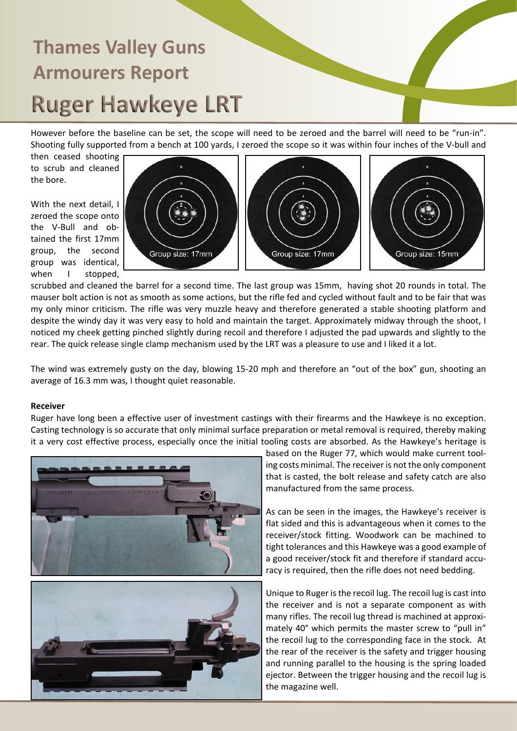However before the baseline can be set, the scope will need to be zeroed and the barrel will need to be "run-in". Shooting fully supported from a bench at 100 yards, I zeroed the scope so it was within four inches of the V-bull and

then ceased shooting to scrub and cleaned the bore.

With the next detail, I zeroed the scope onto the V-Bull and obtained the first 17mm group, the second group was identical, when I stopped,



scrubbed and cleaned the barrel for a second time. The last group was 15mm, having shot 20 rounds in total. The mauser bolt action is not as smooth as some actions, but the rifle fed and cycled without fault and to be fair that was my only minor criticism. The rifle was very muzzle heavy and therefore generated a stable shooting platform and despite the windy day it was very easy to hold and maintain the target. Approximately midway through the shoot, I noticed my cheek getting pinched slightly during recoil and therefore I adjusted the pad upwards and slightly to the rear. The quick release single clamp mechanism used by the LRT was a pleasure to use and I liked it a lot.

The wind was extremely gusty on the day, blowing 15-20 mph and therefore an "out of the box" gun, shooting an average of 16.3 mm was, I thought quiet reasonable.

#### **Receiver**

Ruger have long been a effective user of investment castings with their firearms and the Hawkeye is no exception. Casting technology is so accurate that only minimal surface preparation or metal removal is required, thereby making it a very cost effective process, especially once the initial tooling costs are absorbed. As the Hawkeye's heritage is





based on the Ruger 77, which would make current tooling costs minimal. The receiver is not the only component that is casted, the bolt release and safety catch are also manufactured from the same process.

As can be seen in the images, the Hawkeye's receiver is flat sided and this is advantageous when it comes to the receiver/stock fitting. Woodwork can be machined to tight tolerances and this Hawkeye was a good example of a good receiver/stock fit and therefore if standard accuracy is required, then the rifle does not need bedding.

Unique to Ruger is the recoil lug. The recoil lug is cast into the receiver and is not a separate component as with many rifles. The recoil lug thread is machined at approximately 40° which permits the master screw to "pull in" the recoil lug to the corresponding face in the stock. At the rear of the receiver is the safety and trigger housing and running parallel to the housing is the spring loaded ejector. Between the trigger housing and the recoil lug is the magazine well.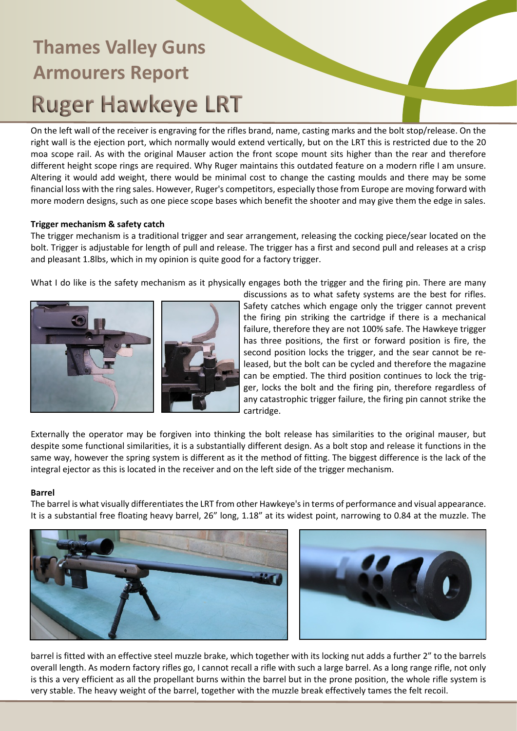On the left wall of the receiver is engraving for the rifles brand, name, casting marks and the bolt stop/release. On the right wall is the ejection port, which normally would extend vertically, but on the LRT this is restricted due to the 20 moa scope rail. As with the original Mauser action the front scope mount sits higher than the rear and therefore different height scope rings are required. Why Ruger maintains this outdated feature on a modern rifle I am unsure. Altering it would add weight, there would be minimal cost to change the casting moulds and there may be some financial loss with the ring sales. However, Ruger's competitors, especially those from Europe are moving forward with more modern designs, such as one piece scope bases which benefit the shooter and may give them the edge in sales.

### **Trigger mechanism & safety catch**

The trigger mechanism is a traditional trigger and sear arrangement, releasing the cocking piece/sear located on the bolt. Trigger is adjustable for length of pull and release. The trigger has a first and second pull and releases at a crisp and pleasant 1.8lbs, which in my opinion is quite good for a factory trigger.

What I do like is the safety mechanism as it physically engages both the trigger and the firing pin. There are many



discussions as to what safety systems are the best for rifles. Safety catches which engage only the trigger cannot prevent the firing pin striking the cartridge if there is a mechanical failure, therefore they are not 100% safe. The Hawkeye trigger has three positions, the first or forward position is fire, the second position locks the trigger, and the sear cannot be released, but the bolt can be cycled and therefore the magazine can be emptied. The third position continues to lock the trigger, locks the bolt and the firing pin, therefore regardless of any catastrophic trigger failure, the firing pin cannot strike the cartridge.

Externally the operator may be forgiven into thinking the bolt release has similarities to the original mauser, but despite some functional similarities, it is a substantially different design. As a bolt stop and release it functions in the same way, however the spring system is different as it the method of fitting. The biggest difference is the lack of the integral ejector as this is located in the receiver and on the left side of the trigger mechanism.

#### **Barrel**

The barrel is what visually differentiates the LRT from other Hawkeye's in terms of performance and visual appearance. It is a substantial free floating heavy barrel, 26" long, 1.18" at its widest point, narrowing to 0.84 at the muzzle. The





barrel is fitted with an effective steel muzzle brake, which together with its locking nut adds a further 2" to the barrels overall length. As modern factory rifles go, I cannot recall a rifle with such a large barrel. As a long range rifle, not only is this a very efficient as all the propellant burns within the barrel but in the prone position, the whole rifle system is very stable. The heavy weight of the barrel, together with the muzzle break effectively tames the felt recoil.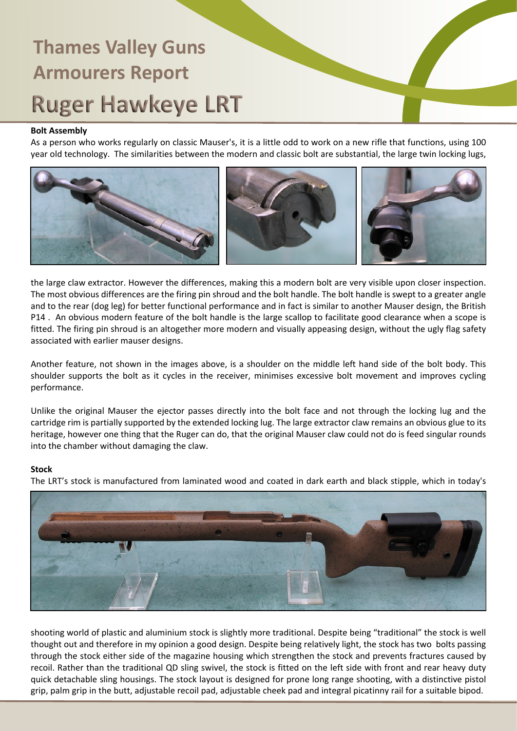### **Bolt Assembly**

As a person who works regularly on classic Mauser's, it is a little odd to work on a new rifle that functions, using 100 year old technology. The similarities between the modern and classic bolt are substantial, the large twin locking lugs,



the large claw extractor. However the differences, making this a modern bolt are very visible upon closer inspection. The most obvious differences are the firing pin shroud and the bolt handle. The bolt handle is swept to a greater angle and to the rear (dog leg) for better functional performance and in fact is similar to another Mauser design, the British P14 . An obvious modern feature of the bolt handle is the large scallop to facilitate good clearance when a scope is fitted. The firing pin shroud is an altogether more modern and visually appeasing design, without the ugly flag safety associated with earlier mauser designs.

Another feature, not shown in the images above, is a shoulder on the middle left hand side of the bolt body. This shoulder supports the bolt as it cycles in the receiver, minimises excessive bolt movement and improves cycling performance.

Unlike the original Mauser the ejector passes directly into the bolt face and not through the locking lug and the cartridge rim is partially supported by the extended locking lug. The large extractor claw remains an obvious glue to its heritage, however one thing that the Ruger can do, that the original Mauser claw could not do is feed singular rounds into the chamber without damaging the claw.

#### **Stock**

The LRT's stock is manufactured from laminated wood and coated in dark earth and black stipple, which in today's



shooting world of plastic and aluminium stock is slightly more traditional. Despite being "traditional" the stock is well thought out and therefore in my opinion a good design. Despite being relatively light, the stock has two bolts passing through the stock either side of the magazine housing which strengthen the stock and prevents fractures caused by recoil. Rather than the traditional QD sling swivel, the stock is fitted on the left side with front and rear heavy duty quick detachable sling housings. The stock layout is designed for prone long range shooting, with a distinctive pistol grip, palm grip in the butt, adjustable recoil pad, adjustable cheek pad and integral picatinny rail for a suitable bipod.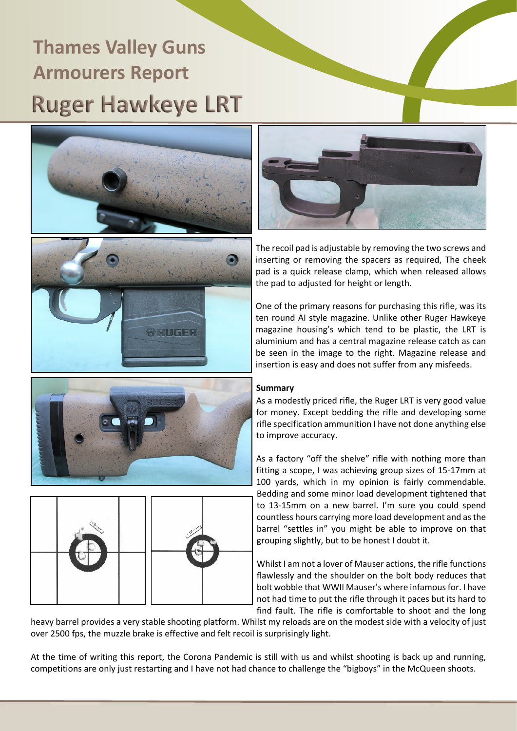



The recoil pad is adjustable by removing the two screws and inserting or removing the spacers as required, The cheek pad is a quick release clamp, which when released allows the pad to adjusted for height or length.

One of the primary reasons for purchasing this rifle, was its ten round AI style magazine. Unlike other Ruger Hawkeye magazine housing's which tend to be plastic, the LRT is aluminium and has a central magazine release catch as can be seen in the image to the right. Magazine release and insertion is easy and does not suffer from any misfeeds.





### **Summary**

As a modestly priced rifle, the Ruger LRT is very good value for money. Except bedding the rifle and developing some rifle specification ammunition I have not done anything else to improve accuracy.

As a factory "off the shelve" rifle with nothing more than fitting a scope, I was achieving group sizes of 15-17mm at 100 yards, which in my opinion is fairly commendable. Bedding and some minor load development tightened that to 13-15mm on a new barrel. I'm sure you could spend countless hours carrying more load development and as the barrel "settles in" you might be able to improve on that grouping slightly, but to be honest I doubt it.

Whilst I am not a lover of Mauser actions, the rifle functions flawlessly and the shoulder on the bolt body reduces that bolt wobble that WWII Mauser's where infamous for. I have not had time to put the rifle through it paces but its hard to find fault. The rifle is comfortable to shoot and the long

heavy barrel provides a very stable shooting platform. Whilst my reloads are on the modest side with a velocity of just over 2500 fps, the muzzle brake is effective and felt recoil is surprisingly light.

At the time of writing this report, the Corona Pandemic is still with us and whilst shooting is back up and running, competitions are only just restarting and I have not had chance to challenge the "bigboys" in the McQueen shoots.